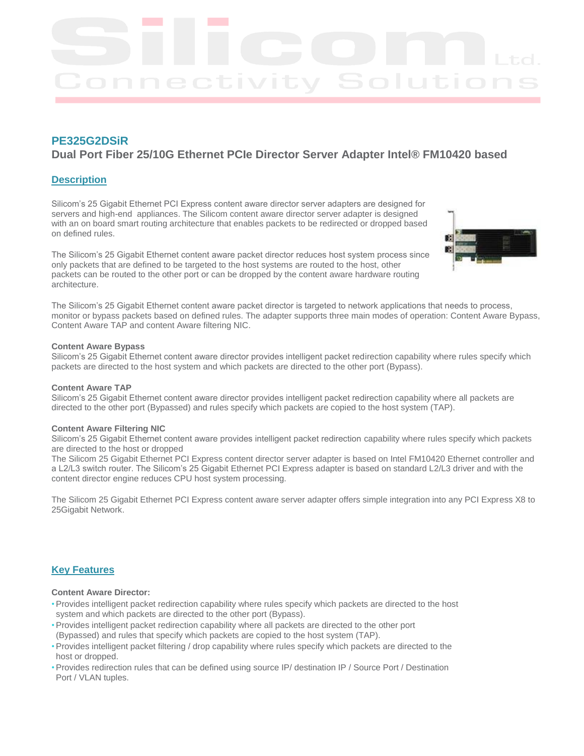# **PE325G2DSiR**

# **Dual Port Fiber 25/10G Ethernet PCIe Director Server Adapter Intel® FM10420 based**

# **Description**

Silicom's 25 Gigabit Ethernet PCI Express content aware director server adapters are designed for servers and high-end appliances. The Silicom content aware director server adapter is designed with an on board smart routing architecture that enables packets to be redirected or dropped based on defined rules.

The Silicom's 25 Gigabit Ethernet content aware packet director reduces host system process since only packets that are defined to be targeted to the host systems are routed to the host, other packets can be routed to the other port or can be dropped by the content aware hardware routing architecture.



The Silicom's 25 Gigabit Ethernet content aware packet director is targeted to network applications that needs to process, monitor or bypass packets based on defined rules. The adapter supports three main modes of operation: Content Aware Bypass, Content Aware TAP and content Aware filtering NIC.

# **Content Aware Bypass**

Silicom's 25 Gigabit Ethernet content aware director provides intelligent packet redirection capability where rules specify which packets are directed to the host system and which packets are directed to the other port (Bypass).

# **Content Aware TAP**

Silicom's 25 Gigabit Ethernet content aware director provides intelligent packet redirection capability where all packets are directed to the other port (Bypassed) and rules specify which packets are copied to the host system (TAP).

# **Content Aware Filtering NIC**

Silicom's 25 Gigabit Ethernet content aware provides intelligent packet redirection capability where rules specify which packets are directed to the host or dropped

The Silicom 25 Gigabit Ethernet PCI Express content director server adapter is based on Intel FM10420 Ethernet controller and a L2/L3 switch router. The Silicom's 25 Gigabit Ethernet PCI Express adapter is based on standard L2/L3 driver and with the content director engine reduces CPU host system processing.

The Silicom 25 Gigabit Ethernet PCI Express content aware server adapter offers simple integration into any PCI Express X8 to 25Gigabit Network.

# **Key Features**

# **Content Aware Director:**

- Provides intelligent packet redirection capability where rules specify which packets are directed to the host system and which packets are directed to the other port (Bypass).
- Provides intelligent packet redirection capability where all packets are directed to the other port
- (Bypassed) and rules that specify which packets are copied to the host system (TAP).
- Provides intelligent packet filtering / drop capability where rules specify which packets are directed to the host or dropped.
- Provides redirection rules that can be defined using source IP/ destination IP / Source Port / Destination Port / VLAN tuples.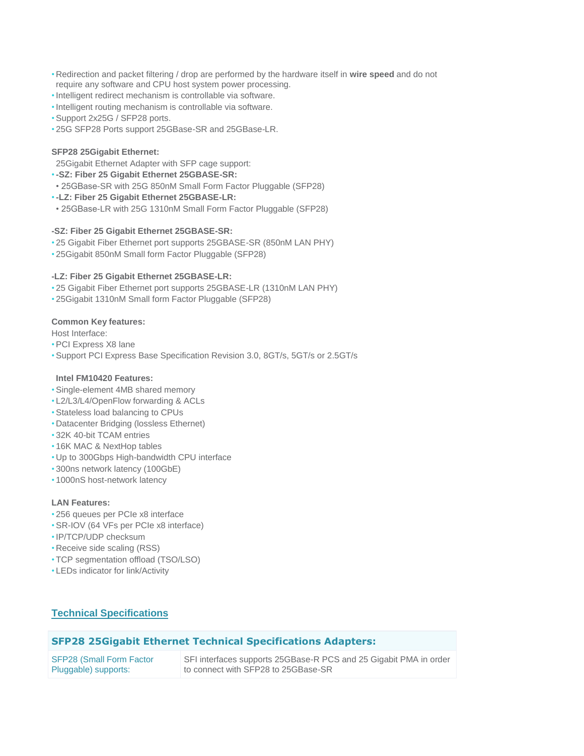- Redirection and packet filtering / drop are performed by the hardware itself in wire speed and do not require any software and CPU host system power processing.
- •Intelligent redirect mechanism is controllable via software.
- •Intelligent routing mechanism is controllable via software.
- Support 2x25G / SFP28 ports.
- 25G SFP28 Ports support 25GBase-SR and 25GBase-LR.

# **SFP28 25Gigabit Ethernet:**

25Gigabit Ethernet Adapter with SFP cage support:

- •**-SZ: Fiber 25 Gigabit Ethernet 25GBASE-SR:**
- 25GBase-SR with 25G 850nM Small Form Factor Pluggable (SFP28)
- •**-LZ: Fiber 25 Gigabit Ethernet 25GBASE-LR:**
- 25GBase-LR with 25G 1310nM Small Form Factor Pluggable (SFP28)

# **-SZ: Fiber 25 Gigabit Ethernet 25GBASE-SR:**

- 25 Gigabit Fiber Ethernet port supports 25GBASE-SR (850nM LAN PHY)
- 25Gigabit 850nM Small form Factor Pluggable (SFP28)

# **-LZ: Fiber 25 Gigabit Ethernet 25GBASE-LR:**

- 25 Gigabit Fiber Ethernet port supports 25GBASE-LR (1310nM LAN PHY)
- 25Gigabit 1310nM Small form Factor Pluggable (SFP28)

# **Common Key features:**

Host Interface:

- PCI Express X8 lane
- Support PCI Express Base Specification Revision 3.0, 8GT/s, 5GT/s or 2.5GT/s

## **Intel FM10420 Features:**

- Single-element 4MB shared memory
- L2/L3/L4/OpenFlow forwarding & ACLs
- Stateless load balancing to CPUs
- Datacenter Bridging (lossless Ethernet)
- 32K 40-bit TCAM entries
- 16K MAC & NextHop tables
- Up to 300Gbps High-bandwidth CPU interface
- 300ns network latency (100GbE)
- 1000nS host-network latency

# **LAN Features:**

- 256 queues per PCIe x8 interface
- SR-IOV (64 VFs per PCIe x8 interface)
- •IP/TCP/UDP checksum
- Receive side scaling (RSS)
- TCP segmentation offload (TSO/LSO)
- LEDs indicator for link/Activity

# **Technical Specifications**

# **SFP28 25Gigabit Ethernet Technical Specifications Adapters:**

| <b>SFP28 (Small Form Factor</b> | SFI interfaces supports 25GBase-R PCS and 25 Gigabit PMA in order |
|---------------------------------|-------------------------------------------------------------------|
| Pluggable) supports:            | to connect with SFP28 to 25GBase-SR                               |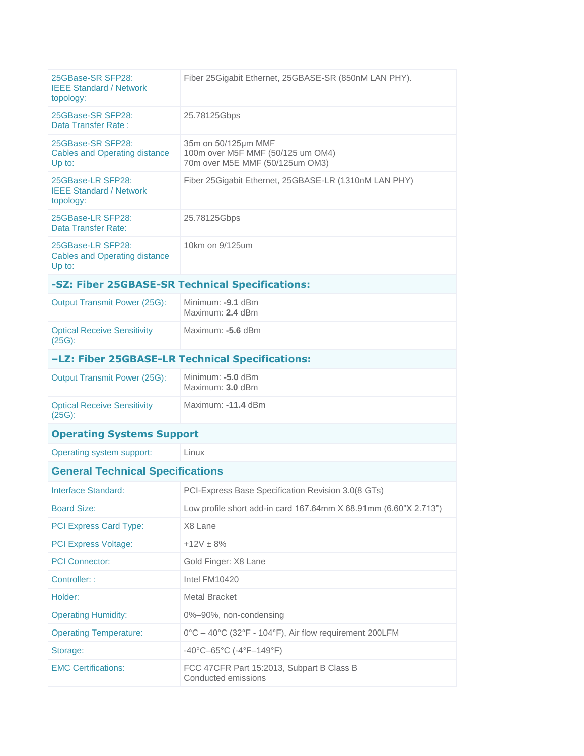| 25GBase-SR SFP28:<br><b>IEEE Standard / Network</b><br>topology:    | Fiber 25 Gigabit Ethernet, 25 GBASE-SR (850nM LAN PHY).                                     |  |  |  |
|---------------------------------------------------------------------|---------------------------------------------------------------------------------------------|--|--|--|
| 25GBase-SR SFP28:<br>Data Transfer Rate:                            | 25.78125Gbps                                                                                |  |  |  |
| 25GBase-SR SFP28:<br><b>Cables and Operating distance</b><br>Up to: | 35m on 50/125µm MMF<br>100m over M5F MMF (50/125 um OM4)<br>70m over M5E MMF (50/125um OM3) |  |  |  |
| 25GBase-LR SFP28:<br><b>IEEE Standard / Network</b><br>topology:    | Fiber 25Gigabit Ethernet, 25GBASE-LR (1310nM LAN PHY)                                       |  |  |  |
| 25GBase-LR SFP28:<br>Data Transfer Rate:                            | 25.78125Gbps                                                                                |  |  |  |
| 25GBase-LR SFP28:<br><b>Cables and Operating distance</b><br>Up to: | 10km on 9/125um                                                                             |  |  |  |
| -SZ: Fiber 25GBASE-SR Technical Specifications:                     |                                                                                             |  |  |  |
| <b>Output Transmit Power (25G):</b>                                 | Minimum: -9.1 dBm<br>Maximum: 2.4 dBm                                                       |  |  |  |
| <b>Optical Receive Sensitivity</b><br>$(25G)$ :                     | Maximum: -5.6 dBm                                                                           |  |  |  |
| -LZ: Fiber 25GBASE-LR Technical Specifications:                     |                                                                                             |  |  |  |
| <b>Output Transmit Power (25G):</b>                                 | Minimum: -5.0 dBm<br>Maximum: 3.0 dBm                                                       |  |  |  |
| <b>Optical Receive Sensitivity</b><br>$(25G)$ :                     | Maximum: -11.4 dBm                                                                          |  |  |  |
| <b>Operating Systems Support</b>                                    |                                                                                             |  |  |  |
|                                                                     |                                                                                             |  |  |  |
| Operating system support:                                           | Linux                                                                                       |  |  |  |
| <b>General Technical Specifications</b>                             |                                                                                             |  |  |  |
| Interface Standard:                                                 | PCI-Express Base Specification Revision 3.0(8 GTs)                                          |  |  |  |
| <b>Board Size:</b>                                                  | Low profile short add-in card 167.64mm X 68.91mm (6.60"X 2.713")                            |  |  |  |
| PCI Express Card Type:                                              | X8 Lane                                                                                     |  |  |  |
| PCI Express Voltage:                                                | $+12V \pm 8%$                                                                               |  |  |  |
| <b>PCI Connector:</b>                                               | Gold Finger: X8 Lane                                                                        |  |  |  |
| Controller: :                                                       | Intel FM10420                                                                               |  |  |  |
| Holder:                                                             | <b>Metal Bracket</b>                                                                        |  |  |  |
| <b>Operating Humidity:</b>                                          | 0%-90%, non-condensing                                                                      |  |  |  |
| <b>Operating Temperature:</b>                                       | 0°C - 40°C (32°F - 104°F), Air flow requirement 200LFM                                      |  |  |  |
| Storage:                                                            | $-40^{\circ}$ C $-65^{\circ}$ C ( $-4^{\circ}$ F $-149^{\circ}$ F)                          |  |  |  |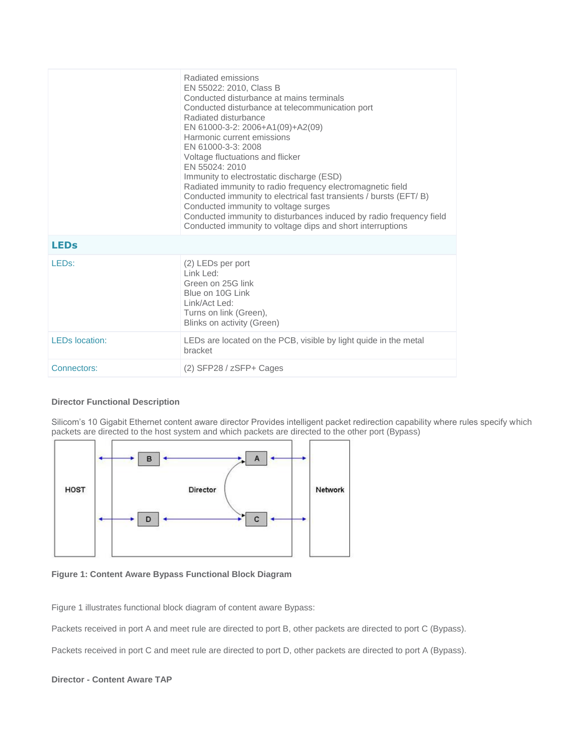|                       | Radiated emissions<br>EN 55022: 2010, Class B<br>Conducted disturbance at mains terminals<br>Conducted disturbance at telecommunication port<br>Radiated disturbance<br>EN 61000-3-2: 2006+A1(09)+A2(09)<br>Harmonic current emissions<br>EN 61000-3-3: 2008<br>Voltage fluctuations and flicker<br>EN 55024: 2010<br>Immunity to electrostatic discharge (ESD)<br>Radiated immunity to radio frequency electromagnetic field<br>Conducted immunity to electrical fast transients / bursts (EFT/B)<br>Conducted immunity to voltage surges<br>Conducted immunity to disturbances induced by radio frequency field<br>Conducted immunity to voltage dips and short interruptions |
|-----------------------|---------------------------------------------------------------------------------------------------------------------------------------------------------------------------------------------------------------------------------------------------------------------------------------------------------------------------------------------------------------------------------------------------------------------------------------------------------------------------------------------------------------------------------------------------------------------------------------------------------------------------------------------------------------------------------|
| <b>LEDs</b>           |                                                                                                                                                                                                                                                                                                                                                                                                                                                                                                                                                                                                                                                                                 |
| LED <sub>s:</sub>     | (2) LEDs per port<br>Link Led:<br>Green on 25G link<br>Blue on 10G Link<br>$Link/Act$ Led:<br>Turns on link (Green),<br>Blinks on activity (Green)                                                                                                                                                                                                                                                                                                                                                                                                                                                                                                                              |
| <b>LEDs</b> location: | LEDs are located on the PCB, visible by light quide in the metal<br>bracket                                                                                                                                                                                                                                                                                                                                                                                                                                                                                                                                                                                                     |
| Connectors:           | $(2)$ SFP28 / zSFP+ Cages                                                                                                                                                                                                                                                                                                                                                                                                                                                                                                                                                                                                                                                       |

## **Director Functional Description**

Silicom's 10 Gigabit Ethernet content aware director Provides intelligent packet redirection capability where rules specify which packets are directed to the host system and which packets are directed to the other port (Bypass)



**Figure 1: Content Aware Bypass Functional Block Diagram**

Figure 1 illustrates functional block diagram of content aware Bypass:

Packets received in port A and meet rule are directed to port B, other packets are directed to port C (Bypass).

Packets received in port C and meet rule are directed to port D, other packets are directed to port A (Bypass).

# **Director - Content Aware TAP**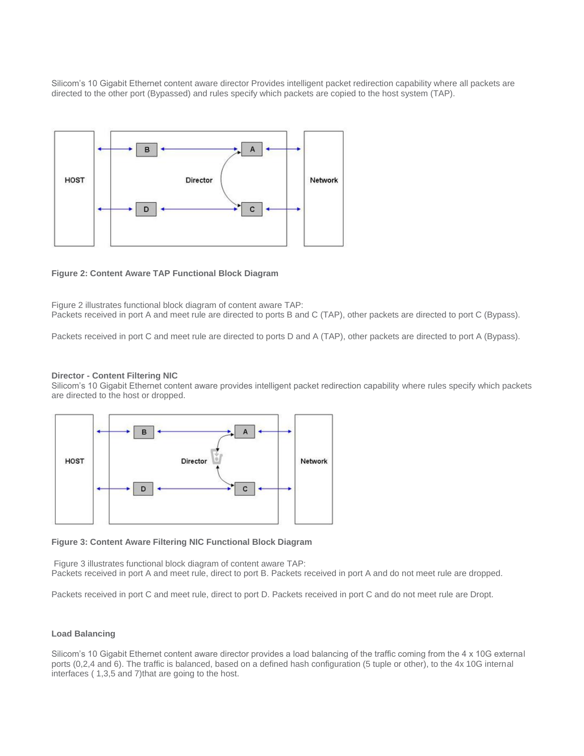Silicom's 10 Gigabit Ethernet content aware director Provides intelligent packet redirection capability where all packets are directed to the other port (Bypassed) and rules specify which packets are copied to the host system (TAP).



### **Figure 2: Content Aware TAP Functional Block Diagram**

Figure 2 illustrates functional block diagram of content aware TAP: Packets received in port A and meet rule are directed to ports B and C (TAP), other packets are directed to port C (Bypass).

Packets received in port C and meet rule are directed to ports D and A (TAP), other packets are directed to port A (Bypass).

#### **Director - Content Filtering NIC**

Silicom's 10 Gigabit Ethernet content aware provides intelligent packet redirection capability where rules specify which packets are directed to the host or dropped.



#### **Figure 3: Content Aware Filtering NIC Functional Block Diagram**

Figure 3 illustrates functional block diagram of content aware TAP: Packets received in port A and meet rule, direct to port B. Packets received in port A and do not meet rule are dropped.

Packets received in port C and meet rule, direct to port D. Packets received in port C and do not meet rule are Dropt.

#### **Load Balancing**

Silicom's 10 Gigabit Ethernet content aware director provides a load balancing of the traffic coming from the 4 x 10G external ports (0,2,4 and 6). The traffic is balanced, based on a defined hash configuration (5 tuple or other), to the 4x 10G internal interfaces ( 1,3,5 and 7)that are going to the host.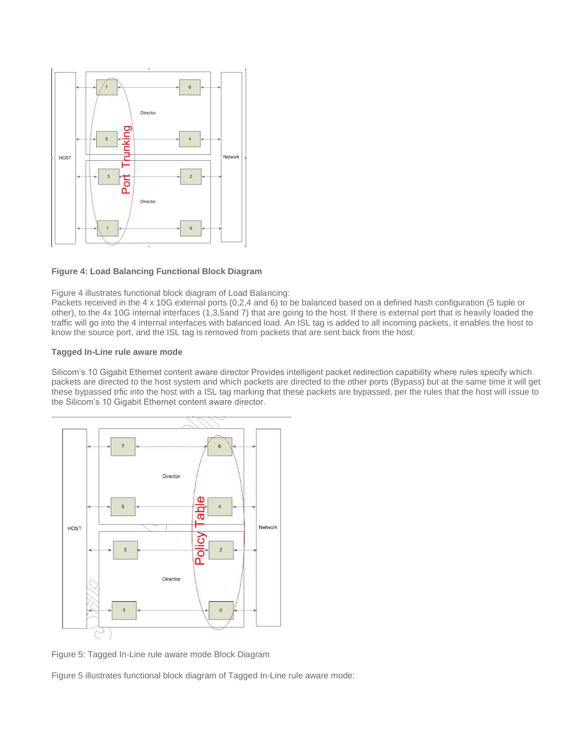

#### **Figure 4: Load Balancing Functional Block Diagram**

Figure 4 illustrates functional block diagram of Load Balancing:

Packets received in the 4 x 10G external ports (0,2,4 and 6) to be balanced based on a defined hash configuration (5 tuple or other), to the 4x 10G internal interfaces (1,3,5and 7) that are going to the host. If there is external port that is heavily loaded the traffic will go into the 4 internal interfaces with balanced load. An ISL tag is added to all incoming packets, it enables the host to know the source port, and the ISL tag is removed from packets that are sent back from the host.

### **Tagged In-Line rule aware mode**

Silicom's 10 Gigabit Ethernet content aware director Provides intelligent packet redirection capability where rules specify which packets are directed to the host system and which packets are directed to the other ports (Bypass) but at the same time it will get these bypassed trfic into the host with a ISL tag marking that these packets are bypassed, per the rules that the host will issue to the Silicom's 10 Gigabit Ethernet content aware director.



Figure 5: Tagged In-Line rule aware mode Block Diagram

Figure 5 illustrates functional block diagram of Tagged In-Line rule aware mode: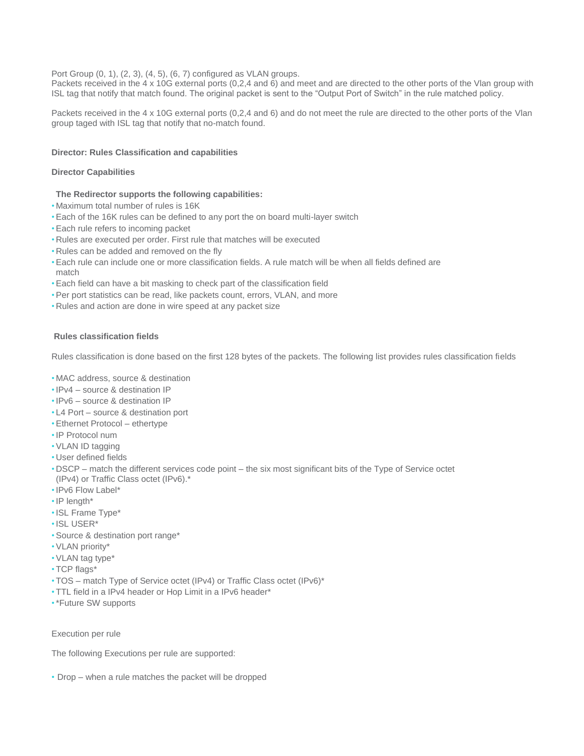Port Group (0, 1), (2, 3), (4, 5), (6, 7) configured as VLAN groups.

Packets received in the 4 x 10G external ports (0,2,4 and 6) and meet and are directed to the other ports of the Vlan group with ISL tag that notify that match found. The original packet is sent to the "Output Port of Switch" in the rule matched policy.

Packets received in the 4 x 10G external ports (0,2,4 and 6) and do not meet the rule are directed to the other ports of the Vlan group taged with ISL tag that notify that no-match found.

## **Director: Rules Classification and capabilities**

## **Director Capabilities**

# **The Redirector supports the following capabilities:**

- Maximum total number of rules is 16K
- Each of the 16K rules can be defined to any port the on board multi-layer switch
- Each rule refers to incoming packet
- Rules are executed per order. First rule that matches will be executed
- Rules can be added and removed on the fly
- Each rule can include one or more classification fields. A rule match will be when all fields defined are match
- Each field can have a bit masking to check part of the classification field
- Per port statistics can be read, like packets count, errors, VLAN, and more
- Rules and action are done in wire speed at any packet size

# **Rules classification fields**

Rules classification is done based on the first 128 bytes of the packets. The following list provides rules classification fields

- MAC address, source & destination
- •IPv4 source & destination IP
- •IPv6 source & destination IP
- L4 Port source & destination port
- Ethernet Protocol ethertype
- •IP Protocol num
- VLAN ID tagging
- User defined fields
- DSCP match the different services code point the six most significant bits of the Type of Service octet (IPv4) or Traffic Class octet (IPv6).\*
- •IPv6 Flow Label\*
- •IP length\*
- •ISL Frame Type\*
- •ISL USER\*
- Source & destination port range\*
- VLAN priority\*
- VLAN tag type\*
- TCP flags\*
- TOS match Type of Service octet (IPv4) or Traffic Class octet (IPv6)\*
- TTL field in a IPv4 header or Hop Limit in a IPv6 header\*
- •\*Future SW supports

Execution per rule

The following Executions per rule are supported:

• Drop – when a rule matches the packet will be dropped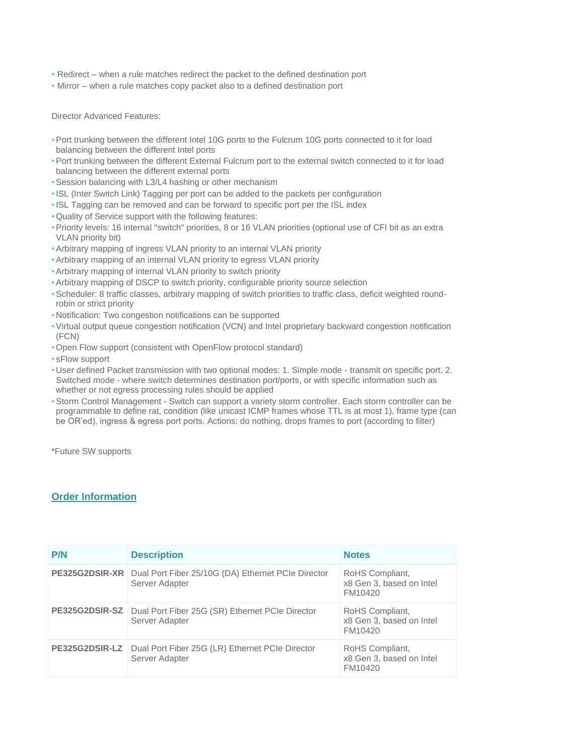- Redirect when a rule matches redirect the packet to the defined destination port
- Mirror when a rule matches copy packet also to a defined destination port

Director Advanced Features:

- Port trunking between the different Intel 10G ports to the Fulcrum 10G ports connected to it for load balancing between the different Intel ports
- Port trunking between the different External Fulcrum port to the external switch connected to it for load balancing between the different external ports
- Session balancing with L3/L4 hashing or other mechanism
- •ISL (Inter Switch Link) Tagging per port can be added to the packets per configuration
- •ISL Tagging can be removed and can be forward to specific port per the ISL index
- Quality of Service support with the following features:
- Priority levels: 16 internal "switch" priorities, 8 or 16 VLAN priorities (optional use of CFI bit as an extra VLAN priority bit)
- Arbitrary mapping of ingress VLAN priority to an internal VLAN priority
- Arbitrary mapping of an internal VLAN priority to egress VLAN priority
- Arbitrary mapping of internal VLAN priority to switch priority
- Arbitrary mapping of DSCP to switch priority, configurable priority source selection
- Scheduler: 8 traffic classes, arbitrary mapping of switch priorities to traffic class, deficit weighted roundrobin or strict priority
- Notification: Two congestion notifications can be supported
- Virtual output queue congestion notification (VCN) and Intel proprietary backward congestion notification (FCN)
- Open Flow support (consistent with OpenFlow protocol standard)
- sFlow support
- User defined Packet transmission with two optional modes: 1. Simple mode transmit on specific port. 2. Switched mode - where switch determines destination port/ports, or with specific information such as whether or not egress processing rules should be applied
- Storm Control Management Switch can support a variety storm controller. Each storm controller can be programmable to define rat, condition (like unicast ICMP frames whose TTL is at most 1), frame type (can be OR'ed), ingress & egress port ports. Actions: do nothing, drops frames to port (according to filter)

\*Future SW supports

# **Order Information**

| <b>P/N</b>     | <b>Description</b>                                                                 | <b>Notes</b>                                           |
|----------------|------------------------------------------------------------------------------------|--------------------------------------------------------|
| PE325G2DSIR-XR | Dual Port Fiber 25/10G (DA) Ethernet PCIe Director<br>Server Adapter               | RoHS Compliant,<br>x8 Gen 3, based on Intel<br>FM10420 |
|                | PE325G2DSIR-SZ   Dual Port Fiber 25G (SR) Ethernet PCIe Director<br>Server Adapter | RoHS Compliant,<br>x8 Gen 3, based on Intel<br>FM10420 |
| PE325G2DSIR-LZ | Dual Port Fiber 25G (LR) Ethernet PCIe Director<br>Server Adapter                  | RoHS Compliant,<br>x8 Gen 3, based on Intel<br>FM10420 |